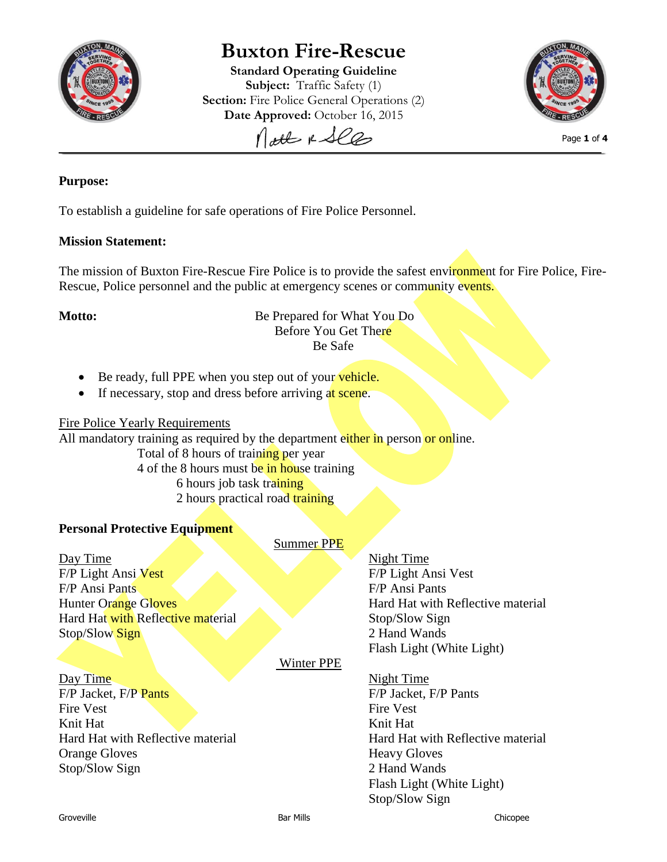

# **Buxton Fire-Rescue**

**Standard Operating Guideline Subject:** Traffic Safety (1) **Section:** Fire Police General Operations (2) **Date Approved:** October 16, 2015

Nott & See



Page **1** of **4**

# **Purpose:**

To establish a guideline for safe operations of Fire Police Personnel.

# **Mission Statement:**

The mission of Buxton Fire-Rescue Fire Police is to provide the safest environment for Fire Police, Fire-Rescue, Police personnel and the public at emergency scenes or community events.

# **Motto:** Be Prepared for What You Do Before You Get There Be Safe

- Be ready, full PPE when you step out of your vehicle.
- If necessary, stop and dress before arriving at scene.

# Fire Police Yearly Requirements

All mandatory training as required by the department either in person or online.

Total of 8 hours of training per year

4 of the 8 hours must be in house training

- 6 hours job task training
- 2 hours practical road training

# **Personal Protective Equipment**

Day Time Night Time F/P Light Ansi Vest F/P Light Ansi Vest F/P Ansi Pants F/P Ansi Pants Hunter Orange Gloves Hard Hat with Reflective material Stop/Slow Sign Stop/Slow Sign 2 Hand Wands

Summer PPE

Winter PPE

Day Time Night Time F/P Jacket, F/P Pants F/P Jacket, F/P Pants Fire Vest Fire Vest Knit Hat Knit Hat Knit Hat Orange Gloves Heavy Gloves Stop/Slow Sign 2 Hand Wands

Flash Light (White Light)

Hard Hat with Reflective material Hard Hat with Reflective material Flash Light (White Light) Stop/Slow Sign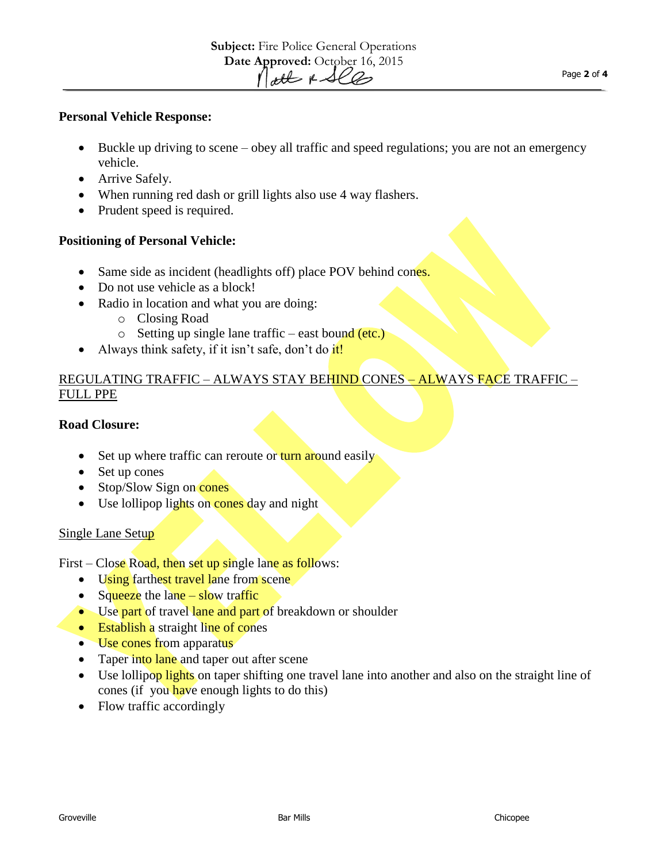#### **Personal Vehicle Response:**

- Buckle up driving to scene obey all traffic and speed regulations; you are not an emergency vehicle.
- Arrive Safely.
- When running red dash or grill lights also use 4 way flashers.
- Prudent speed is required.

### **Positioning of Personal Vehicle:**

- Same side as incident (headlights off) place POV behind cones.
- Do not use vehicle as a block!
- Radio in location and what you are doing:
	- o Closing Road
	- $\circ$  Setting up single lane traffic east bound (etc.)
- Always think safety, if it isn't safe, don't do it!

# REGULATING TRAFFIC – ALWAYS STAY BEHIND CONES – ALWAYS FACE TRAFFIC – FULL PPE

### **Road Closure:**

- Set up where traffic can reroute or turn around easily
- Set up cones
- $\bullet$  Stop/Slow Sign on cones
- Use lollipop lights on cones day and night

#### Single Lane Setup

First – Close Road, then set up single lane as follows:

- Using farthest travel lane from scene
- Squeeze the lane  $-$  slow traffic
- Use part of travel lane and part of breakdown or shoulder
- Establish a straight line of cones
- Use cones from apparatus
- Taper into lane and taper out after scene
- Use lollipop lights on taper shifting one travel lane into another and also on the straight line of cones (if you have enough lights to do this)
- Flow traffic accordingly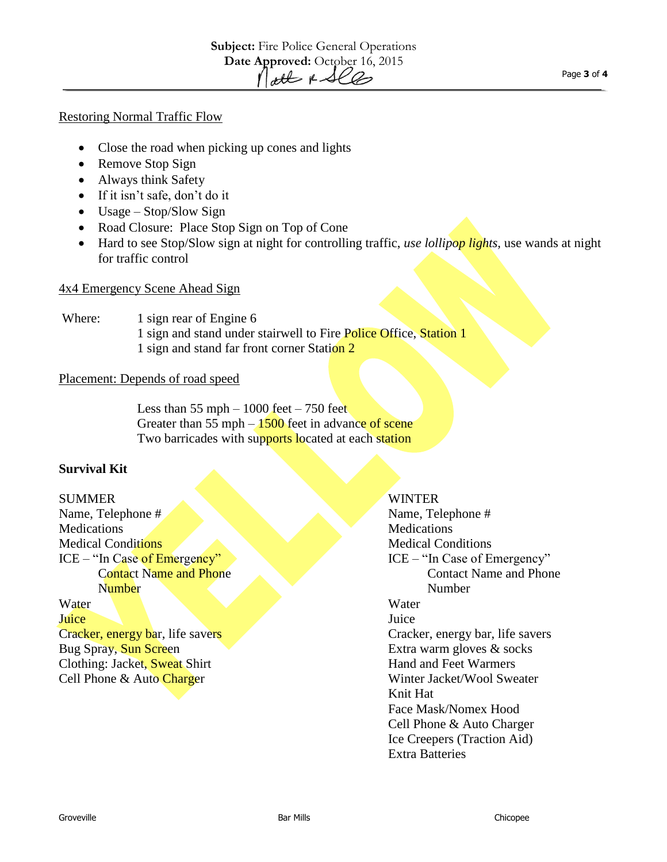#### Restoring Normal Traffic Flow

- Close the road when picking up cones and lights
- Remove Stop Sign
- Always think Safety
- If it isn't safe, don't do it
- Usage Stop/Slow Sign
- Road Closure: Place Stop Sign on Top of Cone
- Hard to see Stop/Slow sign at night for controlling traffic, *use lollipop lights,* use wands at night for traffic control

#### 4x4 Emergency Scene Ahead Sign

# Where: 1 sign rear of Engine 6 1 sign and stand under stairwell to Fire Police Office, Station 1 1 sign and stand far front corner Station 2

#### Placement: Depends of road speed

Less than  $55$  mph  $-1000$  feet  $-750$  feet Greater than 55 mph  $-1500$  feet in advance of scene Two barricades with supports located at each station

### **Survival Kit**

SUMMER WINTER Name, Telephone # Name, Telephone # Name, Telephone # Medications Medications Medications Medications Medications Medications Medications Medications of  $\mathbb{R}^n$ Medical Conditions Medical Conditions Medical Conditions ICE – "In Case of Emergency" Contact Name and Phone **Number** Water Water Juice Juice Juice States and the States of the States of the States and the Juice Juice of the States of the States of the States of the States of the States of the States of the States of the States of the States of the S Cracker, energy bar, life savers Cracker, energy bar, life savers Bug Spray, Sun Screen Extra warm gloves & socks

ICE – "In Case of Emergency" Contact Name and Phone Number Clothing: Jacket, Sweat Shirt Hand and Feet Warmers Cell Phone & Auto Charger Winter Jacket/Wool Sweater Knit Hat Face Mask/Nomex Hood Cell Phone & Auto Charger Ice Creepers (Traction Aid) Extra Batteries